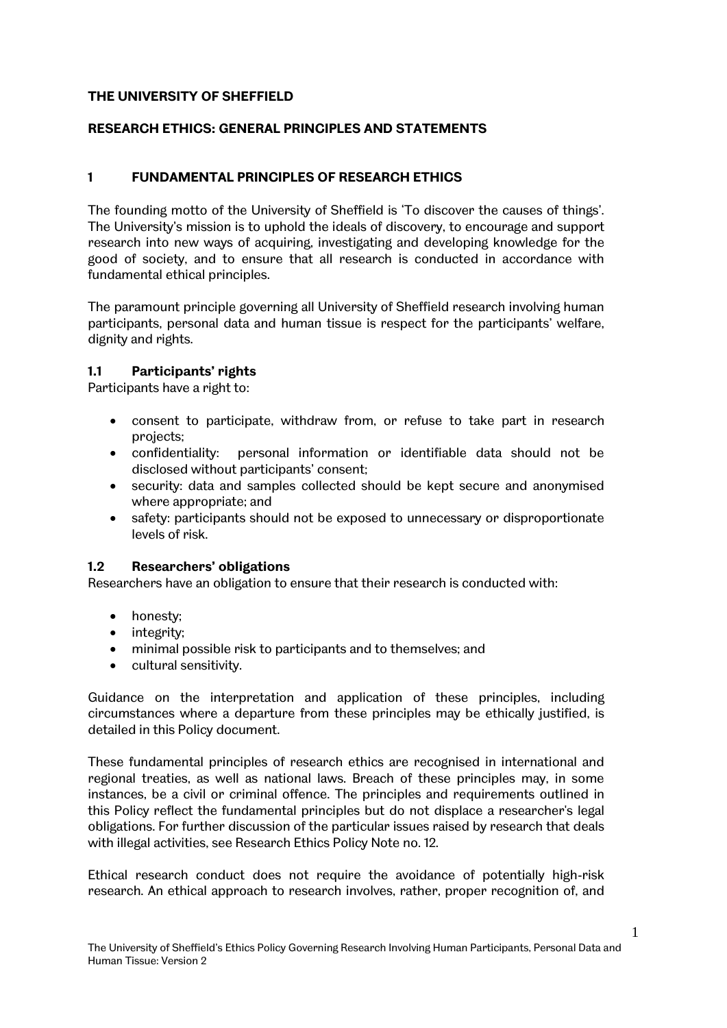## **THE UNIVERSITY OF SHEFFIELD**

## **RESEARCH ETHICS: GENERAL PRINCIPLES AND STATEMENTS**

## **1 FUNDAMENTAL PRINCIPLES OF RESEARCH ETHICS**

The founding motto of the University of Sheffield is 'To discover the causes of things'. The University's mission is to uphold the ideals of discovery, to encourage and support research into new ways of acquiring, investigating and developing knowledge for the good of society, and to ensure that all research is conducted in accordance with fundamental ethical principles.

The paramount principle governing all University of Sheffield research involving human participants, personal data and human tissue is respect for the participants' welfare, dignity and rights.

#### **1.1 Participants' rights**

Participants have a right to:

- consent to participate, withdraw from, or refuse to take part in research projects;
- confidentiality: personal information or identifiable data should not be disclosed without participants' consent;
- security: data and samples collected should be kept secure and anonymised where appropriate; and
- safety: participants should not be exposed to unnecessary or disproportionate levels of risk.

#### **1.2 Researchers' obligations**

Researchers have an obligation to ensure that their research is conducted with:

- honesty;
- integrity;
- minimal possible risk to participants and to themselves; and
- cultural sensitivity.

Guidance on the interpretation and application of these principles, including circumstances where a departure from these principles may be ethically justified, is detailed in this Policy document.

These fundamental principles of research ethics are recognised in international and regional treaties, as well as national laws. Breach of these principles may, in some instances, be a civil or criminal offence. The principles and requirements outlined in this Policy reflect the fundamental principles but do not displace a researcher's legal obligations. For further discussion of the particular issues raised by research that deals with illegal activities, see Research Ethics Policy Note no. 12.

Ethical research conduct does not require the avoidance of potentially high-risk research. An ethical approach to research involves, rather, proper recognition of, and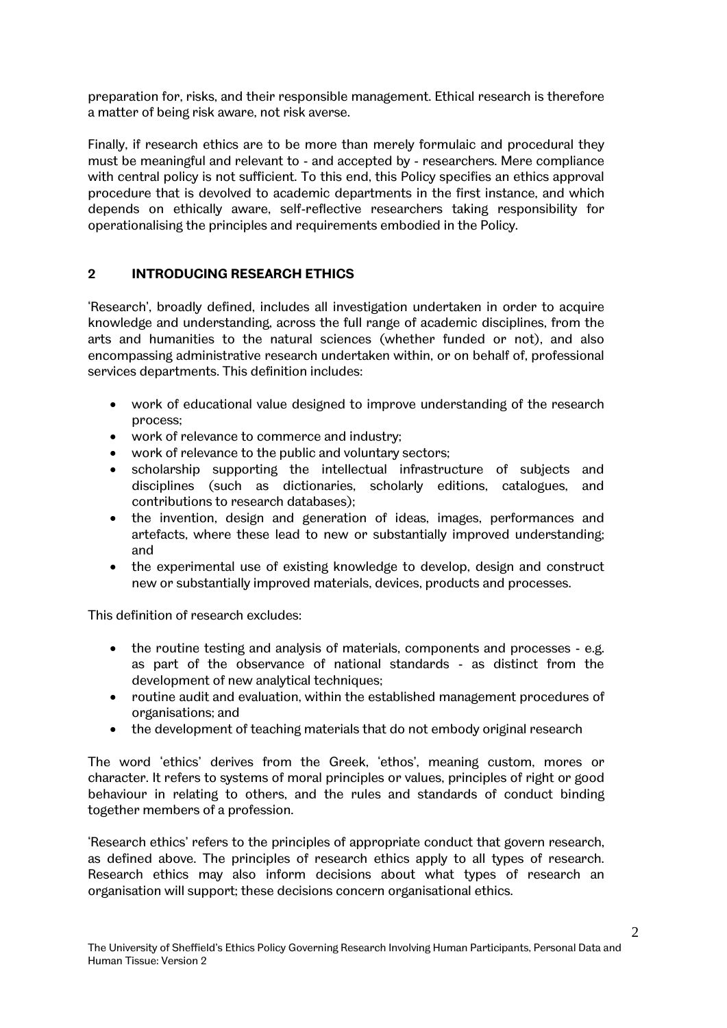preparation for, risks, and their responsible management. Ethical research is therefore a matter of being risk aware, not risk averse.

Finally, if research ethics are to be more than merely formulaic and procedural they must be meaningful and relevant to - and accepted by - researchers. Mere compliance with central policy is not sufficient. To this end, this Policy specifies an ethics approval procedure that is devolved to academic departments in the first instance, and which depends on ethically aware, self-reflective researchers taking responsibility for operationalising the principles and requirements embodied in the Policy.

## **2 INTRODUCING RESEARCH ETHICS**

'Research', broadly defined, includes all investigation undertaken in order to acquire knowledge and understanding, across the full range of academic disciplines, from the arts and humanities to the natural sciences (whether funded or not), and also encompassing administrative research undertaken within, or on behalf of, professional services departments. This definition includes:

- work of educational value designed to improve understanding of the research process;
- work of relevance to commerce and industry;
- work of relevance to the public and voluntary sectors;
- scholarship supporting the intellectual infrastructure of subjects and disciplines (such as dictionaries, scholarly editions, catalogues, and contributions to research databases);
- the invention, design and generation of ideas, images, performances and artefacts, where these lead to new or substantially improved understanding; and
- the experimental use of existing knowledge to develop, design and construct new or substantially improved materials, devices, products and processes.

This definition of research excludes:

- the routine testing and analysis of materials, components and processes e.g. as part of the observance of national standards - as distinct from the development of new analytical techniques;
- routine audit and evaluation, within the established management procedures of organisations; and
- the development of teaching materials that do not embody original research

The word 'ethics' derives from the Greek, 'ethos', meaning custom, mores or character. It refers to systems of moral principles or values, principles of right or good behaviour in relating to others, and the rules and standards of conduct binding together members of a profession.

'Research ethics' refers to the principles of appropriate conduct that govern research, as defined above. The principles of research ethics apply to all types of research. Research ethics may also inform decisions about what types of research an organisation will support; these decisions concern organisational ethics.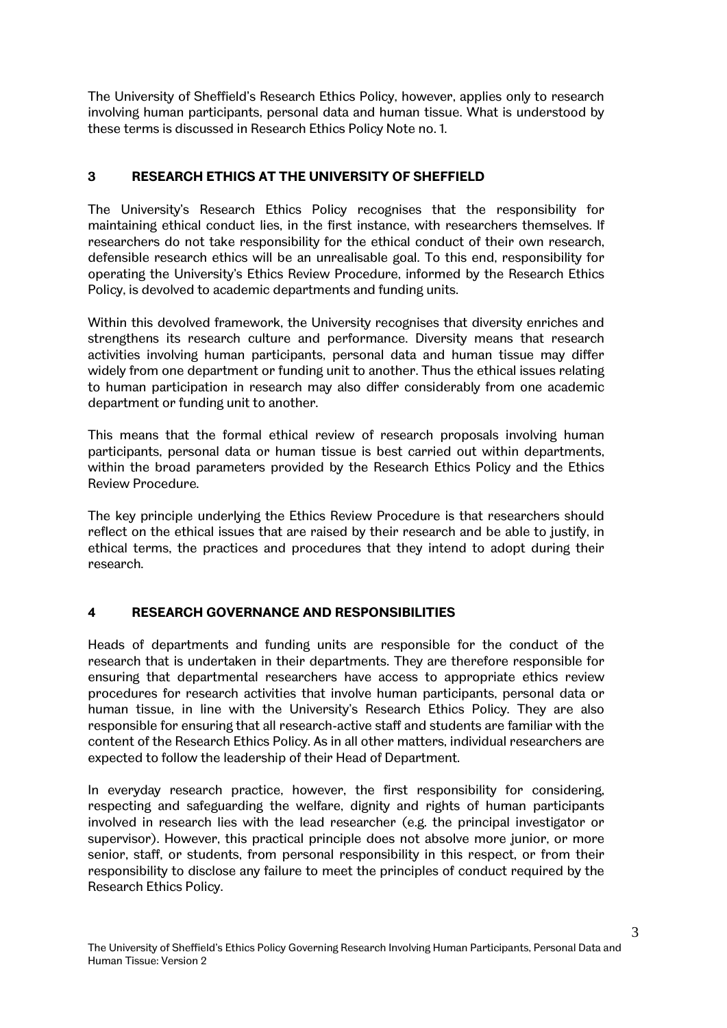The University of Sheffield's Research Ethics Policy, however, applies only to research involving human participants, personal data and human tissue. What is understood by these terms is discussed in Research Ethics Policy Note no. 1.

# **3 RESEARCH ETHICS AT THE UNIVERSITY OF SHEFFIELD**

The University's Research Ethics Policy recognises that the responsibility for maintaining ethical conduct lies, in the first instance, with researchers themselves. If researchers do not take responsibility for the ethical conduct of their own research, defensible research ethics will be an unrealisable goal. To this end, responsibility for operating the University's Ethics Review Procedure, informed by the Research Ethics Policy, is devolved to academic departments and funding units.

Within this devolved framework, the University recognises that diversity enriches and strengthens its research culture and performance. Diversity means that research activities involving human participants, personal data and human tissue may differ widely from one department or funding unit to another. Thus the ethical issues relating to human participation in research may also differ considerably from one academic department or funding unit to another.

This means that the formal ethical review of research proposals involving human participants, personal data or human tissue is best carried out within departments, within the broad parameters provided by the Research Ethics Policy and the Ethics Review Procedure.

The key principle underlying the Ethics Review Procedure is that researchers should reflect on the ethical issues that are raised by their research and be able to justify, in ethical terms, the practices and procedures that they intend to adopt during their research.

## **4 RESEARCH GOVERNANCE AND RESPONSIBILITIES**

Heads of departments and funding units are responsible for the conduct of the research that is undertaken in their departments. They are therefore responsible for ensuring that departmental researchers have access to appropriate ethics review procedures for research activities that involve human participants, personal data or human tissue, in line with the University's Research Ethics Policy. They are also responsible for ensuring that all research-active staff and students are familiar with the content of the Research Ethics Policy. As in all other matters, individual researchers are expected to follow the leadership of their Head of Department.

In everyday research practice, however, the first responsibility for considering, respecting and safeguarding the welfare, dignity and rights of human participants involved in research lies with the lead researcher (e.g. the principal investigator or supervisor). However, this practical principle does not absolve more junior, or more senior, staff, or students, from personal responsibility in this respect, or from their responsibility to disclose any failure to meet the principles of conduct required by the Research Ethics Policy.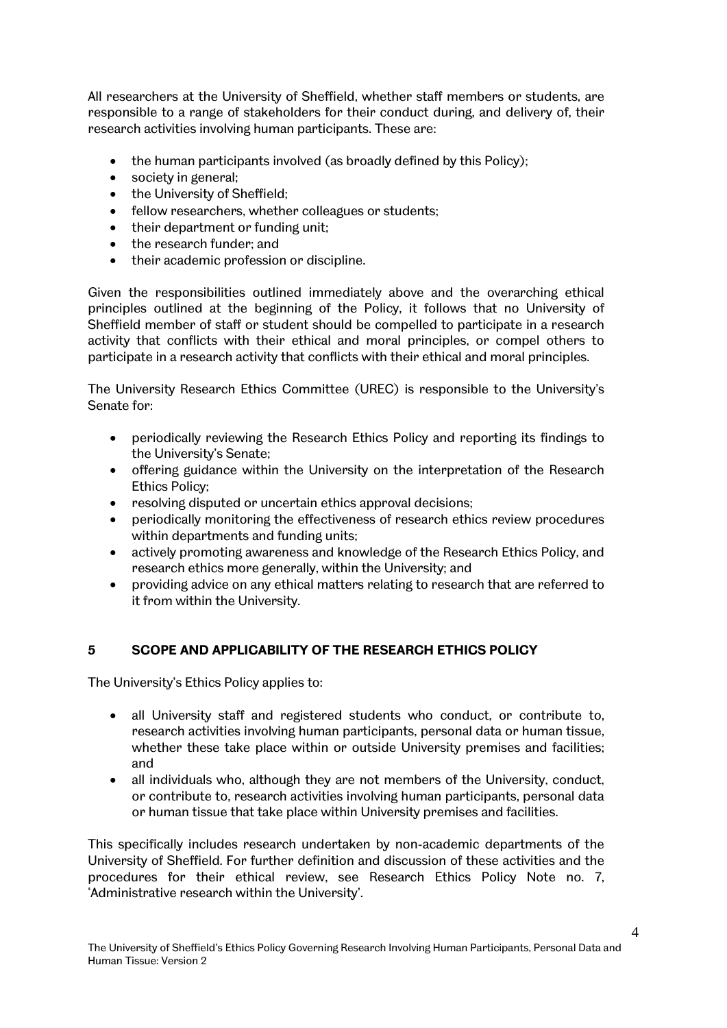All researchers at the University of Sheffield, whether staff members or students, are responsible to a range of stakeholders for their conduct during, and delivery of, their research activities involving human participants. These are:

- the human participants involved (as broadly defined by this Policy);
- society in general;
- the University of Sheffield;
- fellow researchers, whether colleagues or students;
- their department or funding unit;
- the research funder: and
- their academic profession or discipline.

Given the responsibilities outlined immediately above and the overarching ethical principles outlined at the beginning of the Policy, it follows that no University of Sheffield member of staff or student should be compelled to participate in a research activity that conflicts with their ethical and moral principles, or compel others to participate in a research activity that conflicts with their ethical and moral principles.

The University Research Ethics Committee (UREC) is responsible to the University's Senate for:

- periodically reviewing the Research Ethics Policy and reporting its findings to the University's Senate;
- offering guidance within the University on the interpretation of the Research Ethics Policy;
- resolving disputed or uncertain ethics approval decisions;
- periodically monitoring the effectiveness of research ethics review procedures within departments and funding units;
- actively promoting awareness and knowledge of the Research Ethics Policy, and research ethics more generally, within the University; and
- providing advice on any ethical matters relating to research that are referred to it from within the University.

# **5 SCOPE AND APPLICABILITY OF THE RESEARCH ETHICS POLICY**

The University's Ethics Policy applies to:

- all University staff and registered students who conduct, or contribute to, research activities involving human participants, personal data or human tissue, whether these take place within or outside University premises and facilities; and
- all individuals who, although they are not members of the University, conduct, or contribute to, research activities involving human participants, personal data or human tissue that take place within University premises and facilities.

This specifically includes research undertaken by non-academic departments of the University of Sheffield. For further definition and discussion of these activities and the procedures for their ethical review, see Research Ethics Policy Note no. 7, 'Administrative research within the University'.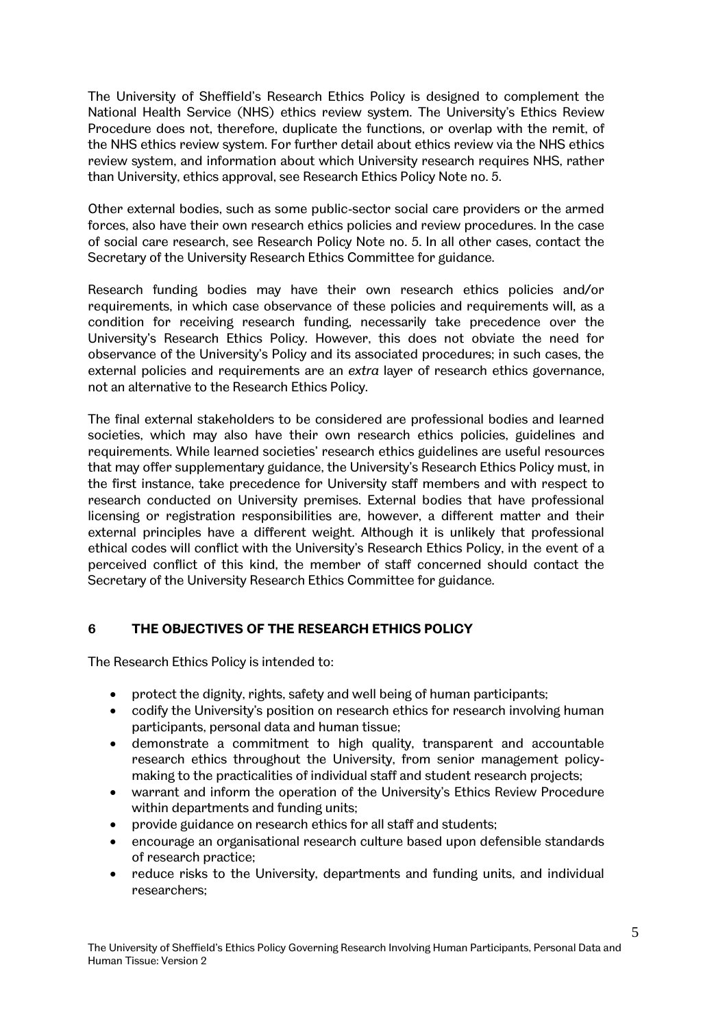The University of Sheffield's Research Ethics Policy is designed to complement the National Health Service (NHS) ethics review system. The University's Ethics Review Procedure does not, therefore, duplicate the functions, or overlap with the remit, of the NHS ethics review system. For further detail about ethics review via the NHS ethics review system, and information about which University research requires NHS, rather than University, ethics approval, see Research Ethics Policy Note no. 5.

Other external bodies, such as some public-sector social care providers or the armed forces, also have their own research ethics policies and review procedures. In the case of social care research, see Research Policy Note no. 5. In all other cases, contact the Secretary of the University Research Ethics Committee for guidance.

Research funding bodies may have their own research ethics policies and/or requirements, in which case observance of these policies and requirements will, as a condition for receiving research funding, necessarily take precedence over the University's Research Ethics Policy. However, this does not obviate the need for observance of the University's Policy and its associated procedures; in such cases, the external policies and requirements are an *extra* layer of research ethics governance, not an alternative to the Research Ethics Policy.

The final external stakeholders to be considered are professional bodies and learned societies, which may also have their own research ethics policies, guidelines and requirements. While learned societies' research ethics guidelines are useful resources that may offer supplementary guidance, the University's Research Ethics Policy must, in the first instance, take precedence for University staff members and with respect to research conducted on University premises. External bodies that have professional licensing or registration responsibilities are, however, a different matter and their external principles have a different weight. Although it is unlikely that professional ethical codes will conflict with the University's Research Ethics Policy, in the event of a perceived conflict of this kind, the member of staff concerned should contact the Secretary of the University Research Ethics Committee for guidance.

## **6 THE OBJECTIVES OF THE RESEARCH ETHICS POLICY**

The Research Ethics Policy is intended to:

- protect the dignity, rights, safety and well being of human participants;
- codify the University's position on research ethics for research involving human participants, personal data and human tissue;
- demonstrate a commitment to high quality, transparent and accountable research ethics throughout the University, from senior management policymaking to the practicalities of individual staff and student research projects;
- warrant and inform the operation of the University's Ethics Review Procedure within departments and funding units;
- provide guidance on research ethics for all staff and students;
- encourage an organisational research culture based upon defensible standards of research practice;
- reduce risks to the University, departments and funding units, and individual researchers;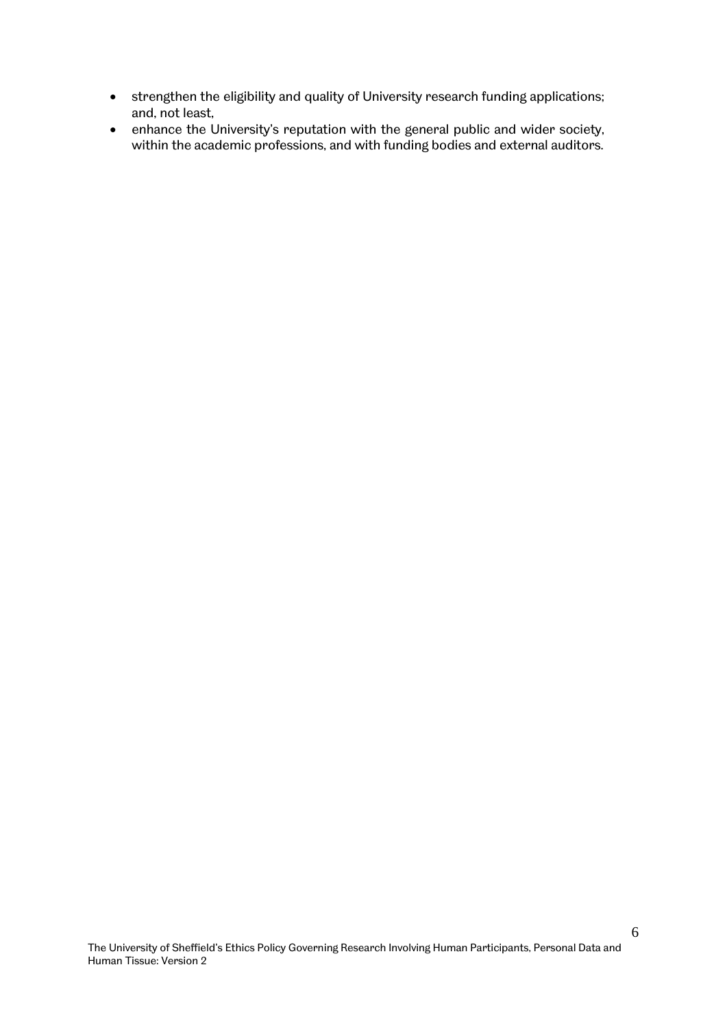- strengthen the eligibility and quality of University research funding applications; and, not least,
- enhance the University's reputation with the general public and wider society, within the academic professions, and with funding bodies and external auditors.